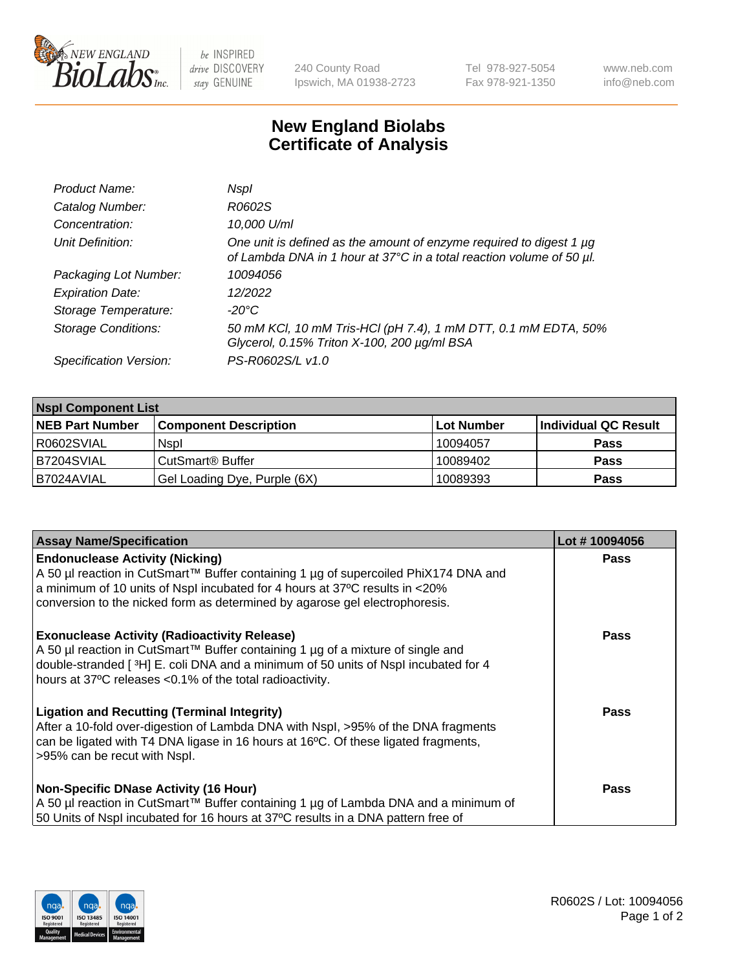

 $be$  INSPIRED drive DISCOVERY stay GENUINE

240 County Road Ipswich, MA 01938-2723 Tel 978-927-5054 Fax 978-921-1350 www.neb.com info@neb.com

## **New England Biolabs Certificate of Analysis**

| Product Name:              | Nspl                                                                                                                                        |
|----------------------------|---------------------------------------------------------------------------------------------------------------------------------------------|
| Catalog Number:            | R0602S                                                                                                                                      |
| Concentration:             | 10,000 U/ml                                                                                                                                 |
| Unit Definition:           | One unit is defined as the amount of enzyme required to digest 1 µg<br>of Lambda DNA in 1 hour at 37°C in a total reaction volume of 50 µl. |
| Packaging Lot Number:      | 10094056                                                                                                                                    |
| <b>Expiration Date:</b>    | 12/2022                                                                                                                                     |
| Storage Temperature:       | -20°C                                                                                                                                       |
| <b>Storage Conditions:</b> | 50 mM KCl, 10 mM Tris-HCl (pH 7.4), 1 mM DTT, 0.1 mM EDTA, 50%<br>Glycerol, 0.15% Triton X-100, 200 µg/ml BSA                               |
| Specification Version:     | PS-R0602S/L v1.0                                                                                                                            |

| <b>Nspl Component List</b> |                              |            |                      |  |  |
|----------------------------|------------------------------|------------|----------------------|--|--|
| <b>NEB Part Number</b>     | <b>Component Description</b> | Lot Number | Individual QC Result |  |  |
| R0602SVIAL                 | <b>Nspl</b>                  | 10094057   | <b>Pass</b>          |  |  |
| B7204SVIAL                 | CutSmart® Buffer             | 10089402   | <b>Pass</b>          |  |  |
| B7024AVIAL                 | Gel Loading Dye, Purple (6X) | 10089393   | <b>Pass</b>          |  |  |

| <b>Assay Name/Specification</b>                                                                                                                                         | Lot #10094056 |
|-------------------------------------------------------------------------------------------------------------------------------------------------------------------------|---------------|
| <b>Endonuclease Activity (Nicking)</b>                                                                                                                                  | <b>Pass</b>   |
| A 50 µl reaction in CutSmart™ Buffer containing 1 µg of supercoiled PhiX174 DNA and<br>a minimum of 10 units of Nspl incubated for 4 hours at 37°C results in <20%      |               |
| conversion to the nicked form as determined by agarose gel electrophoresis.                                                                                             |               |
| <b>Exonuclease Activity (Radioactivity Release)</b>                                                                                                                     | <b>Pass</b>   |
| A 50 µl reaction in CutSmart™ Buffer containing 1 µg of a mixture of single and<br>double-stranded [3H] E. coli DNA and a minimum of 50 units of Nspl incubated for 4   |               |
| hours at 37°C releases <0.1% of the total radioactivity.                                                                                                                |               |
| <b>Ligation and Recutting (Terminal Integrity)</b>                                                                                                                      | <b>Pass</b>   |
| After a 10-fold over-digestion of Lambda DNA with Nspl, >95% of the DNA fragments<br>can be ligated with T4 DNA ligase in 16 hours at 16°C. Of these ligated fragments, |               |
| >95% can be recut with Nspl.                                                                                                                                            |               |
|                                                                                                                                                                         | <b>Pass</b>   |
| <b>Non-Specific DNase Activity (16 Hour)</b><br>A 50 µl reaction in CutSmart™ Buffer containing 1 µg of Lambda DNA and a minimum of                                     |               |
| 50 Units of Nspl incubated for 16 hours at 37°C results in a DNA pattern free of                                                                                        |               |